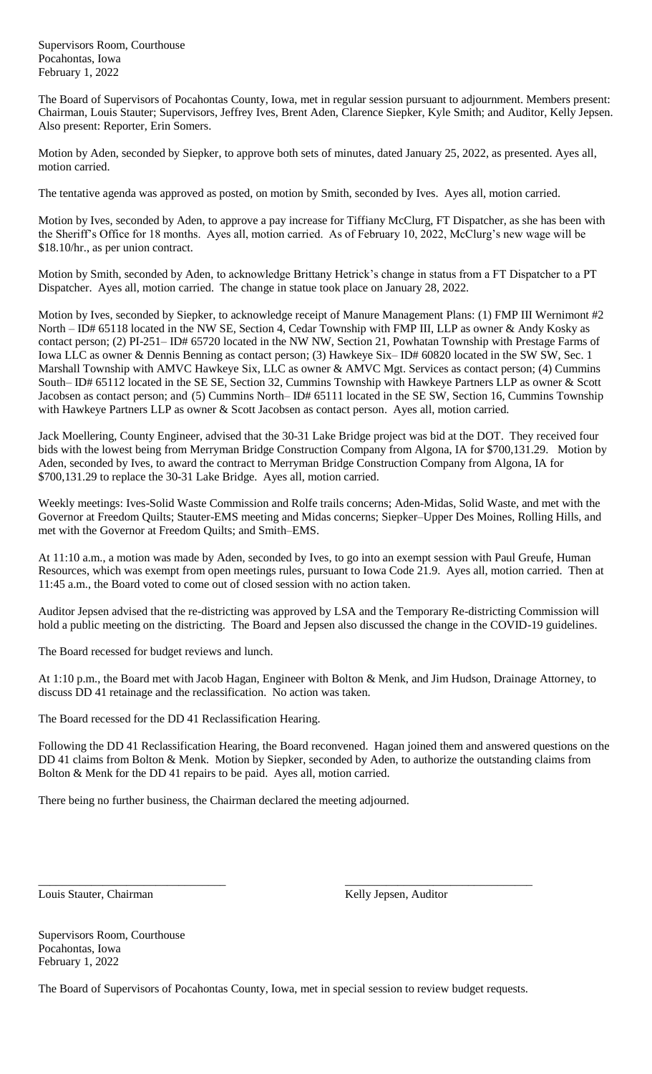Supervisors Room, Courthouse Pocahontas, Iowa February 1, 2022

The Board of Supervisors of Pocahontas County, Iowa, met in regular session pursuant to adjournment. Members present: Chairman, Louis Stauter; Supervisors, Jeffrey Ives, Brent Aden, Clarence Siepker, Kyle Smith; and Auditor, Kelly Jepsen. Also present: Reporter, Erin Somers.

Motion by Aden, seconded by Siepker, to approve both sets of minutes, dated January 25, 2022, as presented. Ayes all, motion carried.

The tentative agenda was approved as posted, on motion by Smith, seconded by Ives. Ayes all, motion carried.

Motion by Ives, seconded by Aden, to approve a pay increase for Tiffiany McClurg, FT Dispatcher, as she has been with the Sheriff's Office for 18 months. Ayes all, motion carried. As of February 10, 2022, McClurg's new wage will be \$18.10/hr., as per union contract.

Motion by Smith, seconded by Aden, to acknowledge Brittany Hetrick's change in status from a FT Dispatcher to a PT Dispatcher. Ayes all, motion carried. The change in statue took place on January 28, 2022.

Motion by Ives, seconded by Siepker, to acknowledge receipt of Manure Management Plans: (1) FMP III Wernimont #2 North – ID# 65118 located in the NW SE, Section 4, Cedar Township with FMP III, LLP as owner & Andy Kosky as contact person; (2) PI-251– ID# 65720 located in the NW NW, Section 21, Powhatan Township with Prestage Farms of Iowa LLC as owner & Dennis Benning as contact person; (3) Hawkeye Six– ID# 60820 located in the SW SW, Sec. 1 Marshall Township with AMVC Hawkeye Six, LLC as owner & AMVC Mgt. Services as contact person; (4) Cummins South– ID# 65112 located in the SE SE, Section 32, Cummins Township with Hawkeye Partners LLP as owner & Scott Jacobsen as contact person; and (5) Cummins North– ID# 65111 located in the SE SW, Section 16, Cummins Township with Hawkeye Partners LLP as owner & Scott Jacobsen as contact person. Ayes all, motion carried.

Jack Moellering, County Engineer, advised that the 30-31 Lake Bridge project was bid at the DOT. They received four bids with the lowest being from Merryman Bridge Construction Company from Algona, IA for \$700,131.29. Motion by Aden, seconded by Ives, to award the contract to Merryman Bridge Construction Company from Algona, IA for \$700,131.29 to replace the 30-31 Lake Bridge. Ayes all, motion carried.

Weekly meetings: Ives-Solid Waste Commission and Rolfe trails concerns; Aden-Midas, Solid Waste, and met with the Governor at Freedom Quilts; Stauter-EMS meeting and Midas concerns; Siepker–Upper Des Moines, Rolling Hills, and met with the Governor at Freedom Quilts; and Smith–EMS.

At 11:10 a.m., a motion was made by Aden, seconded by Ives, to go into an exempt session with Paul Greufe, Human Resources, which was exempt from open meetings rules, pursuant to Iowa Code 21.9. Ayes all, motion carried. Then at 11:45 a.m., the Board voted to come out of closed session with no action taken.

Auditor Jepsen advised that the re-districting was approved by LSA and the Temporary Re-districting Commission will hold a public meeting on the districting. The Board and Jepsen also discussed the change in the COVID-19 guidelines.

The Board recessed for budget reviews and lunch.

At 1:10 p.m., the Board met with Jacob Hagan, Engineer with Bolton & Menk, and Jim Hudson, Drainage Attorney, to discuss DD 41 retainage and the reclassification. No action was taken.

The Board recessed for the DD 41 Reclassification Hearing.

Following the DD 41 Reclassification Hearing, the Board reconvened. Hagan joined them and answered questions on the DD 41 claims from Bolton & Menk. Motion by Siepker, seconded by Aden, to authorize the outstanding claims from Bolton & Menk for the DD 41 repairs to be paid. Ayes all, motion carried.

There being no further business, the Chairman declared the meeting adjourned.

Louis Stauter, Chairman Kelly Jepsen, Auditor

Supervisors Room, Courthouse Pocahontas, Iowa February 1, 2022

The Board of Supervisors of Pocahontas County, Iowa, met in special session to review budget requests.

\_\_\_\_\_\_\_\_\_\_\_\_\_\_\_\_\_\_\_\_\_\_\_\_\_\_\_\_\_\_\_\_ \_\_\_\_\_\_\_\_\_\_\_\_\_\_\_\_\_\_\_\_\_\_\_\_\_\_\_\_\_\_\_\_